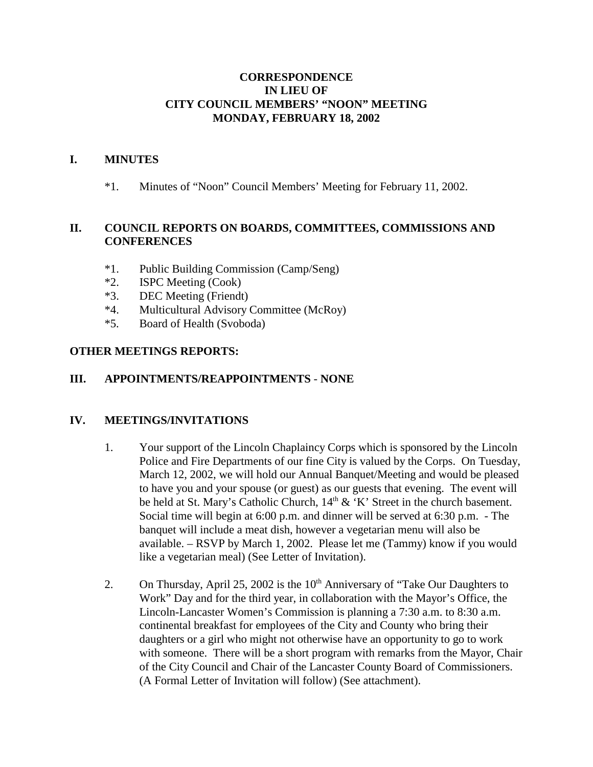## **CORRESPONDENCE IN LIEU OF CITY COUNCIL MEMBERS' "NOON" MEETING MONDAY, FEBRUARY 18, 2002**

## **I. MINUTES**

\*1. Minutes of "Noon" Council Members' Meeting for February 11, 2002.

# **II. COUNCIL REPORTS ON BOARDS, COMMITTEES, COMMISSIONS AND CONFERENCES**

- \*1. Public Building Commission (Camp/Seng)
- \*2. ISPC Meeting (Cook)
- \*3. DEC Meeting (Friendt)
- \*4. Multicultural Advisory Committee (McRoy)
- \*5. Board of Health (Svoboda)

## **OTHER MEETINGS REPORTS:**

## **III. APPOINTMENTS/REAPPOINTMENTS** - **NONE**

#### **IV. MEETINGS/INVITATIONS**

- 1. Your support of the Lincoln Chaplaincy Corps which is sponsored by the Lincoln Police and Fire Departments of our fine City is valued by the Corps. On Tuesday, March 12, 2002, we will hold our Annual Banquet/Meeting and would be pleased to have you and your spouse (or guest) as our guests that evening. The event will be held at St. Mary's Catholic Church,  $14<sup>th</sup>$  & 'K' Street in the church basement. Social time will begin at 6:00 p.m. and dinner will be served at 6:30 p.m. - The banquet will include a meat dish, however a vegetarian menu will also be available. – RSVP by March 1, 2002. Please let me (Tammy) know if you would like a vegetarian meal) (See Letter of Invitation).
- 2. On Thursday, April 25, 2002 is the  $10<sup>th</sup>$  Anniversary of "Take Our Daughters to Work" Day and for the third year, in collaboration with the Mayor's Office, the Lincoln-Lancaster Women's Commission is planning a 7:30 a.m. to 8:30 a.m. continental breakfast for employees of the City and County who bring their daughters or a girl who might not otherwise have an opportunity to go to work with someone. There will be a short program with remarks from the Mayor, Chair of the City Council and Chair of the Lancaster County Board of Commissioners. (A Formal Letter of Invitation will follow) (See attachment).